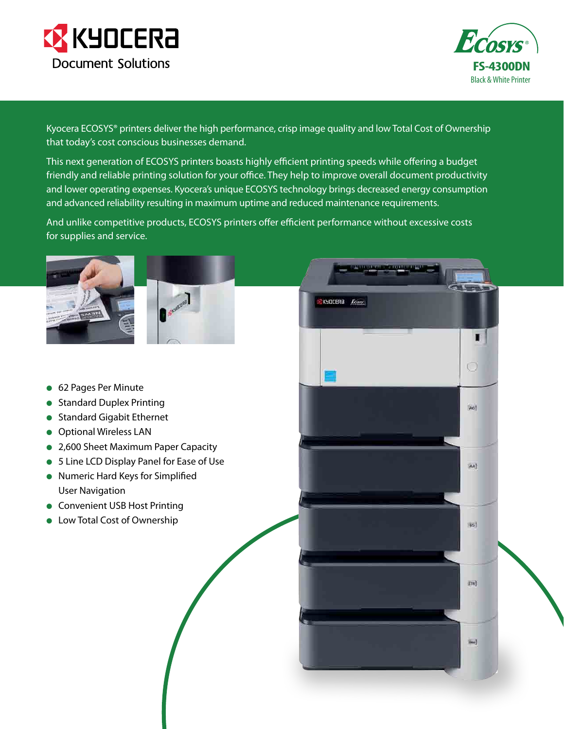



Kyocera ECOSYS® printers deliver the high performance, crisp image quality and low Total Cost of Ownership that today's cost conscious businesses demand.

This next generation of ECOSYS printers boasts highly efficient printing speeds while offering a budget friendly and reliable printing solution for your office. They help to improve overall document productivity and lower operating expenses. Kyocera's unique ECOSYS technology brings decreased energy consumption and advanced reliability resulting in maximum uptime and reduced maintenance requirements.

And unlike competitive products, ECOSYS printers offer efficient performance without excessive costs for supplies and service.